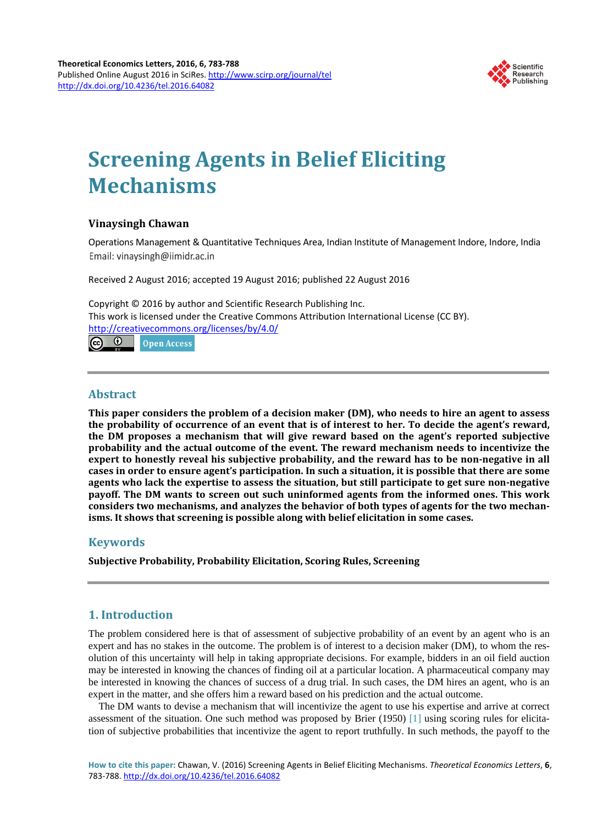

# **Screening Agents in Belief Eliciting Mechanisms**

# **Vinaysingh Chawan**

Operations Management & Quantitative Techniques Area, Indian Institute of Management Indore, Indore, India Email: vinavsingh@iimidr.ac.in

Received 2 August 2016; accepted 19 August 2016; published 22 August 2016

Copyright © 2016 by author and Scientific Research Publishing Inc. This work is licensed under the Creative Commons Attribution International License (CC BY). <http://creativecommons.org/licenses/by/4.0/> <u>ര 0</u> Open Access

**Abstract**

**This paper considers the problem of a decision maker (DM), who needs to hire an agent to assess the probability of occurrence of an event that is of interest to her. To decide the agent's reward, the DM proposes a mechanism that will give reward based on the agent's reported subjective probability and the actual outcome of the event. The reward mechanism needs to incentivize the expert to honestly reveal his subjective probability, and the reward has to be non-negative in all cases in order to ensure agent's participation. In such a situation, it is possible that there are some agents who lack the expertise to assess the situation, but still participate to get sure non-negative payoff. The DM wants to screen out such uninformed agents from the informed ones. This work considers two mechanisms, and analyzes the behavior of both types of agents for the two mechanisms. It shows that screening is possible along with belief elicitation in some cases.**

# **Keywords**

**Subjective Probability, Probability Elicitation, Scoring Rules, Screening**

# **1. Introduction**

The problem considered here is that of assessment of subjective probability of an event by an agent who is an expert and has no stakes in the outcome. The problem is of interest to a decision maker (DM), to whom the resolution of this uncertainty will help in taking appropriate decisions. For example, bidders in an oil field auction may be interested in knowing the chances of finding oil at a particular location. A pharmaceutical company may be interested in knowing the chances of success of a drug trial. In such cases, the DM hires an agent, who is an expert in the matter, and she offers him a reward based on his prediction and the actual outcome.

The DM wants to devise a mechanism that will incentivize the agent to use his expertise and arrive at correct assessment of the situation. One such method was proposed by Brier (1950) [\[1\]](#page-4-0) using scoring rules for elicitation of subjective probabilities that incentivize the agent to report truthfully. In such methods, the payoff to the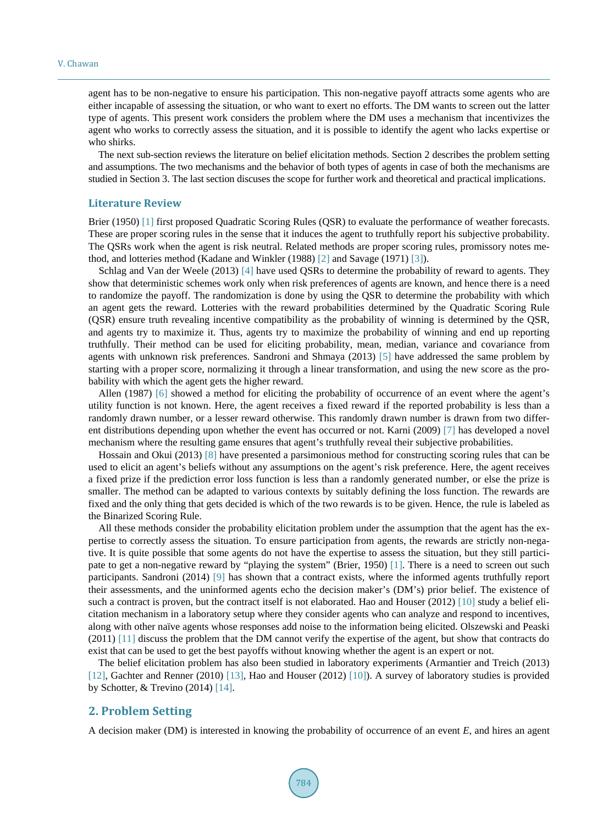agent has to be non-negative to ensure his participation. This non-negative payoff attracts some agents who are either incapable of assessing the situation, or who want to exert no efforts. The DM wants to screen out the latter type of agents. This present work considers the problem where the DM uses a mechanism that incentivizes the agent who works to correctly assess the situation, and it is possible to identify the agent who lacks expertise or who shirks.

The next sub-section reviews the literature on belief elicitation methods. Section 2 describes the problem setting and assumptions. The two mechanisms and the behavior of both types of agents in case of both the mechanisms are studied in Section 3. The last section discuses the scope for further work and theoretical and practical implications.

## **Literature Review**

Brier (1950) [\[1\]](#page-4-0) first proposed Quadratic Scoring Rules (QSR) to evaluate the performance of weather forecasts. These are proper scoring rules in the sense that it induces the agent to truthfully report his subjective probability. The QSRs work when the agent is risk neutral. Related methods are proper scoring rules, promissory notes method, and lotteries method (Kadane and Winkler (1988) [\[2\]](#page-4-1) and Savage (1971) [\[3\]\)](#page-4-2).

Schlag and Van der Weele (2013) [\[4\]](#page-4-3) have used QSRs to determine the probability of reward to agents. They show that deterministic schemes work only when risk preferences of agents are known, and hence there is a need to randomize the payoff. The randomization is done by using the QSR to determine the probability with which an agent gets the reward. Lotteries with the reward probabilities determined by the Quadratic Scoring Rule (QSR) ensure truth revealing incentive compatibility as the probability of winning is determined by the QSR, and agents try to maximize it. Thus, agents try to maximize the probability of winning and end up reporting truthfully. Their method can be used for eliciting probability, mean, median, variance and covariance from agents with unknown risk preferences. Sandroni and Shmaya (2013) [\[5\]](#page-4-4) have addressed the same problem by starting with a proper score, normalizing it through a linear transformation, and using the new score as the probability with which the agent gets the higher reward.

Allen (1987) [\[6\]](#page-4-5) showed a method for eliciting the probability of occurrence of an event where the agent's utility function is not known. Here, the agent receives a fixed reward if the reported probability is less than a randomly drawn number, or a lesser reward otherwise. This randomly drawn number is drawn from two different distributions depending upon whether the event has occurred or not. Karni (2009) [\[7\]](#page-5-0) has developed a novel mechanism where the resulting game ensures that agent's truthfully reveal their subjective probabilities.

Hossain and Okui (2013) [\[8\]](#page-5-1) have presented a parsimonious method for constructing scoring rules that can be used to elicit an agent's beliefs without any assumptions on the agent's risk preference. Here, the agent receives a fixed prize if the prediction error loss function is less than a randomly generated number, or else the prize is smaller. The method can be adapted to various contexts by suitably defining the loss function. The rewards are fixed and the only thing that gets decided is which of the two rewards is to be given. Hence, the rule is labeled as the Binarized Scoring Rule.

All these methods consider the probability elicitation problem under the assumption that the agent has the expertise to correctly assess the situation. To ensure participation from agents, the rewards are strictly non-negative. It is quite possible that some agents do not have the expertise to assess the situation, but they still participate to get a non-negative reward by "playing the system" (Brier, 1950) [\[1\].](#page-4-0) There is a need to screen out such participants. Sandroni (2014) [\[9\]](#page-5-2) has shown that a contract exists, where the informed agents truthfully report their assessments, and the uninformed agents echo the decision maker's (DM's) prior belief. The existence of such a contract is proven, but the contract itself is not elaborated. Hao and Houser (2012) [\[10\]](#page-5-3) study a belief elicitation mechanism in a laboratory setup where they consider agents who can analyze and respond to incentives, along with other naïve agents whose responses add noise to the information being elicited. Olszewski and Peaski (2011) [\[11\]](#page-5-4) discuss the problem that the DM cannot verify the expertise of the agent, but show that contracts do exist that can be used to get the best payoffs without knowing whether the agent is an expert or not.

The belief elicitation problem has also been studied in laboratory experiments (Armantier and Treich (2013) [\[12\],](#page-5-5) Gachter and Renner (2010) [\[13\],](#page-5-6) Hao and Houser (2012) [\[10\]\)](#page-5-3). A survey of laboratory studies is provided by Schotter, & Trevino (2014) [\[14\].](#page-5-7)

# **2. Problem Setting**

A decision maker (DM) is interested in knowing the probability of occurrence of an event *E*, and hires an agent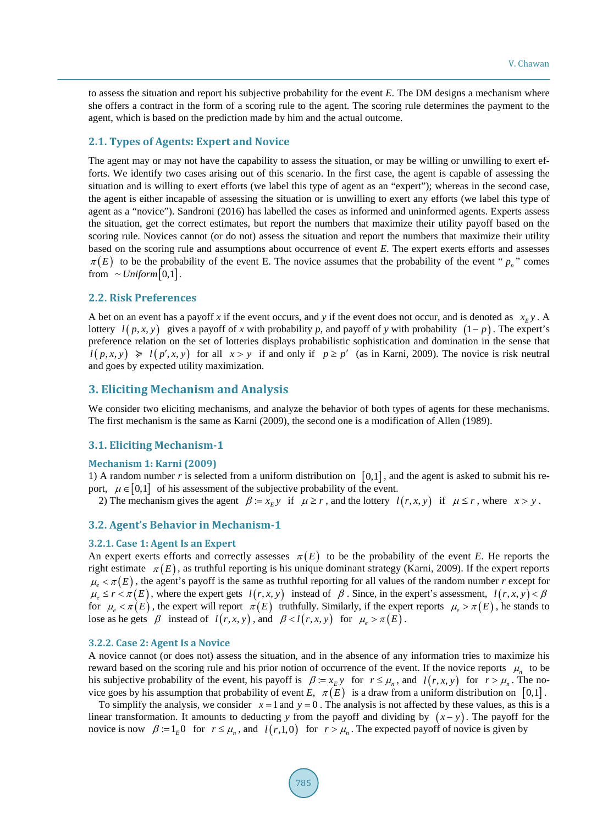to assess the situation and report his subjective probability for the event *E*. The DM designs a mechanism where she offers a contract in the form of a scoring rule to the agent. The scoring rule determines the payment to the agent, which is based on the prediction made by him and the actual outcome.

# **2.1. Types of Agents: Expert and Novice**

The agent may or may not have the capability to assess the situation, or may be willing or unwilling to exert efforts. We identify two cases arising out of this scenario. In the first case, the agent is capable of assessing the situation and is willing to exert efforts (we label this type of agent as an "expert"); whereas in the second case, the agent is either incapable of assessing the situation or is unwilling to exert any efforts (we label this type of agent as a "novice"). Sandroni (2016) has labelled the cases as informed and uninformed agents. Experts assess the situation, get the correct estimates, but report the numbers that maximize their utility payoff based on the scoring rule. Novices cannot (or do not) assess the situation and report the numbers that maximize their utility based on the scoring rule and assumptions about occurrence of event *E*. The expert exerts efforts and assesses  $\pi(E)$  to be the probability of the event E. The novice assumes that the probability of the event "  $p_n$ " comes from  $\sim Uniform[0,1]$ .

# **2.2. Risk Preferences**

A bet on an event has a payoff x if the event occurs, and y if the event does not occur, and is denoted as  $x_E y$ . A lottery  $l(p, x, y)$  gives a payoff of x with probability p, and payoff of y with probability  $(1-p)$ . The expert's preference relation on the set of lotteries displays probabilistic sophistication and domination in the sense that  $l(p, x, y) \ge l(p', x, y)$  for all  $x > y$  if and only if  $p \ge p'$  (as in Karni, 2009). The novice is risk neutral and goes by expected utility maximization.

# **3. Eliciting Mechanism and Analysis**

We consider two eliciting mechanisms, and analyze the behavior of both types of agents for these mechanisms. The first mechanism is the same as Karni (2009), the second one is a modification of Allen (1989).

# **3.1. Eliciting Mechanism-1**

## **Mechanism 1: Karni (2009)**

1) A random number *r* is selected from a uniform distribution on [0,1] , and the agent is asked to submit his report,  $\mu \in [0,1]$  of his assessment of the subjective probability of the event.

2) The mechanism gives the agent  $\beta := x_E y$  if  $\mu \ge r$ , and the lottery  $l(r, x, y)$  if  $\mu \le r$ , where  $x > y$ .

# **3.2. Agent's Behavior in Mechanism-1**

#### **3.2.1. Case 1: Agent Is an Expert**

An expert exerts efforts and correctly assesses  $\pi(E)$  to be the probability of the event *E*. He reports the right estimate  $\pi(E)$ , as truthful reporting is his unique dominant strategy (Karni, 2009). If the expert reports  $\mu_{\varepsilon} < \pi(E)$ , the agent's payoff is the same as truthful reporting for all values of the random number *r* except for  $\mu_e \le r < \pi(E)$ , where the expert gets  $l(r, x, y)$  instead of  $\beta$ . Since, in the expert's assessment,  $l(r, x, y) < \beta$ for  $\mu_e < \pi(E)$ , the expert will report  $\pi(E)$  truthfully. Similarly, if the expert reports  $\mu_e > \pi(E)$ , he stands to lose as he gets  $\beta$  instead of  $l(r, x, y)$ , and  $\beta < l(r, x, y)$  for  $\mu_e > \pi(E)$ .

### **3.2.2. Case 2: Agent Is a Novice**

A novice cannot (or does not) assess the situation, and in the absence of any information tries to maximize his reward based on the scoring rule and his prior notion of occurrence of the event. If the novice reports  $\mu$ <sub>n</sub> to be his subjective probability of the event, his payoff is  $\beta = x_k y$  for  $r \le \mu_n$ , and  $l(r, x, y)$  for  $r > \mu_n$ . The novice goes by his assumption that probability of event *E*,  $\pi(E)$  is a draw from a uniform distribution on [0,1].

To simplify the analysis, we consider  $x = 1$  and  $y = 0$ . The analysis is not affected by these values, as this is a linear transformation. It amounts to deducting *y* from the payoff and dividing by  $(x - y)$ . The payoff for the novice is now  $\beta := 1_E 0$  for  $r \leq \mu_n$ , and  $l(r,1,0)$  for  $r > \mu_n$ . The expected payoff of novice is given by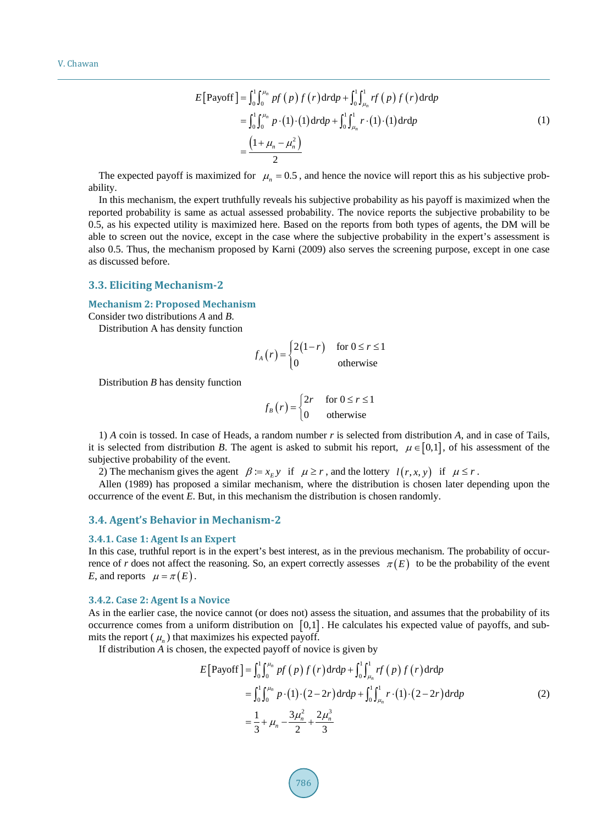$$
E[\text{Payoff}] = \int_0^1 \int_0^{\mu_n} pf(p) f(r) dr dp + \int_0^1 \int_{\mu_n}^1 rf(p) f(r) dr dp
$$
  
= 
$$
\int_0^1 \int_0^{\mu_n} p \cdot (1) \cdot (1) dr dp + \int_0^1 \int_{\mu_n}^1 r \cdot (1) \cdot (1) dr dp
$$
  
= 
$$
\frac{(1 + \mu_n - \mu_n^2)}{2}
$$
 (1)

The expected payoff is maximized for  $\mu_n = 0.5$ , and hence the novice will report this as his subjective probability.

In this mechanism, the expert truthfully reveals his subjective probability as his payoff is maximized when the reported probability is same as actual assessed probability. The novice reports the subjective probability to be 0.5, as his expected utility is maximized here. Based on the reports from both types of agents, the DM will be able to screen out the novice, except in the case where the subjective probability in the expert's assessment is also 0.5. Thus, the mechanism proposed by Karni (2009) also serves the screening purpose, except in one case as discussed before.

#### **3.3. Eliciting Mechanism-2**

#### **Mechanism 2: Proposed Mechanism**

Consider two distributions *A* and *B*.

Distribution A has density function

$$
f_A(r) = \begin{cases} 2(1-r) & \text{for } 0 \le r \le 1 \\ 0 & \text{otherwise} \end{cases}
$$

Distribution *B* has density function

$$
f_B(r) = \begin{cases} 2r & \text{for } 0 \le r \le 1 \\ 0 & \text{otherwise} \end{cases}
$$

1) *A* coin is tossed. In case of Heads, a random number *r* is selected from distribution *A*, and in case of Tails, it is selected from distribution *B*. The agent is asked to submit his report,  $\mu \in [0,1]$ , of his assessment of the subjective probability of the event.

2) The mechanism gives the agent  $\beta := x_E y$  if  $\mu \ge r$ , and the lottery  $l(r, x, y)$  if  $\mu \le r$ .

Allen (1989) has proposed a similar mechanism, where the distribution is chosen later depending upon the occurrence of the event *E*. But, in this mechanism the distribution is chosen randomly.

# **3.4. Agent's Behavior in Mechanism-2**

#### **3.4.1. Case 1: Agent Is an Expert**

In this case, truthful report is in the expert's best interest, as in the previous mechanism. The probability of occurrence of *r* does not affect the reasoning. So, an expert correctly assesses  $\pi(E)$  to be the probability of the event *E*, and reports  $\mu = \pi(E)$ .

## **3.4.2. Case 2: Agent Is a Novice**

As in the earlier case, the novice cannot (or does not) assess the situation, and assumes that the probability of its occurrence comes from a uniform distribution on [0,1] . He calculates his expected value of payoffs, and submits the report  $(\mu_n)$  that maximizes his expected payoff.

If distribution *A* is chosen, the expected payoff of novice is given by

$$
E[\text{Payoff}] = \int_0^1 \int_0^{\mu_n} pf(p) f(r) dr d p + \int_0^1 \int_{\mu_n}^1 rf(p) f(r) dr d p
$$
  
\n
$$
= \int_0^1 \int_0^{\mu_n} p \cdot (1) \cdot (2 - 2r) dr d p + \int_0^1 \int_{\mu_n}^1 r \cdot (1) \cdot (2 - 2r) dr d p
$$
  
\n
$$
= \frac{1}{3} + \mu_n - \frac{3\mu_n^2}{2} + \frac{2\mu_n^3}{3}
$$
 (2)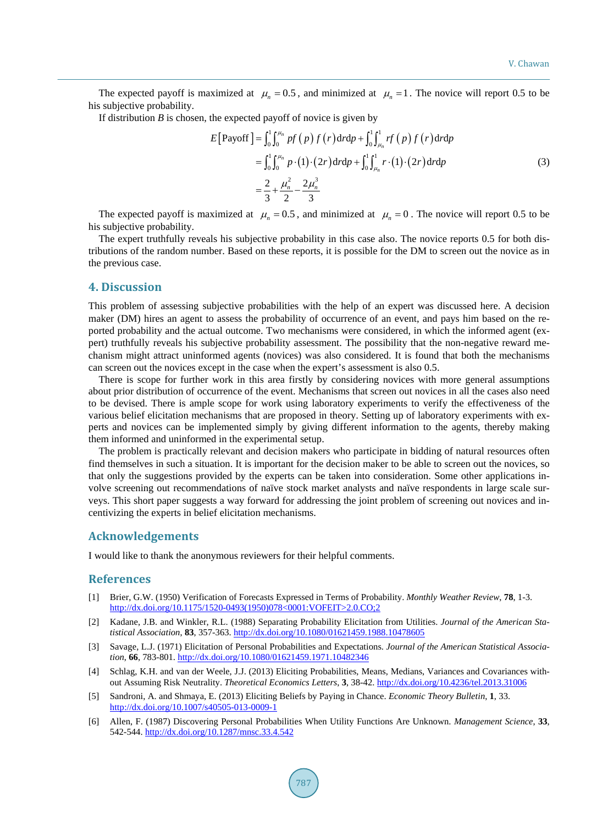The expected payoff is maximized at  $\mu_n = 0.5$ , and minimized at  $\mu_n = 1$ . The novice will report 0.5 to be his subjective probability.

If distribution *B* is chosen, the expected payoff of novice is given by

$$
E[\text{Payoff}] = \int_0^1 \int_0^{\mu_n} pf(p) f(r) dr d p + \int_0^1 \int_{\mu_n}^1 rf(p) f(r) dr d p
$$
  
= 
$$
\int_0^1 \int_0^{\mu_n} p \cdot (1) \cdot (2r) dr d p + \int_0^1 \int_{\mu_n}^1 r \cdot (1) \cdot (2r) dr d p
$$
  
= 
$$
\frac{2}{3} + \frac{\mu_n^2}{2} - \frac{2\mu_n^3}{3}
$$
 (3)

The expected payoff is maximized at  $\mu_n = 0.5$ , and minimized at  $\mu_n = 0$ . The novice will report 0.5 to be his subjective probability.

The expert truthfully reveals his subjective probability in this case also. The novice reports 0.5 for both distributions of the random number. Based on these reports, it is possible for the DM to screen out the novice as in the previous case.

## **4. Discussion**

This problem of assessing subjective probabilities with the help of an expert was discussed here. A decision maker (DM) hires an agent to assess the probability of occurrence of an event, and pays him based on the reported probability and the actual outcome. Two mechanisms were considered, in which the informed agent (expert) truthfully reveals his subjective probability assessment. The possibility that the non-negative reward mechanism might attract uninformed agents (novices) was also considered. It is found that both the mechanisms can screen out the novices except in the case when the expert's assessment is also 0.5.

There is scope for further work in this area firstly by considering novices with more general assumptions about prior distribution of occurrence of the event. Mechanisms that screen out novices in all the cases also need to be devised. There is ample scope for work using laboratory experiments to verify the effectiveness of the various belief elicitation mechanisms that are proposed in theory. Setting up of laboratory experiments with experts and novices can be implemented simply by giving different information to the agents, thereby making them informed and uninformed in the experimental setup.

The problem is practically relevant and decision makers who participate in bidding of natural resources often find themselves in such a situation. It is important for the decision maker to be able to screen out the novices, so that only the suggestions provided by the experts can be taken into consideration. Some other applications involve screening out recommendations of naïve stock market analysts and naïve respondents in large scale surveys. This short paper suggests a way forward for addressing the joint problem of screening out novices and incentivizing the experts in belief elicitation mechanisms.

# **Acknowledgements**

I would like to thank the anonymous reviewers for their helpful comments.

# **References**

- <span id="page-4-0"></span>[1] Brier, G.W. (1950) Verification of Forecasts Expressed in Terms of Probability. *Monthly Weather Review*, **78**, 1-3. [http://dx.doi.org/10.1175/1520-0493\(1950\)078<0001:VOFEIT>2.0.CO;2](http://dx.doi.org/10.1175/1520-0493(1950)078%3c0001:VOFEIT%3e2.0.CO;2)
- <span id="page-4-1"></span>[2] Kadane, J.B. and Winkler, R.L. (1988) Separating Probability Elicitation from Utilities. *Journal of the American Statistical Association*, **83**, 357-363. <http://dx.doi.org/10.1080/01621459.1988.10478605>
- <span id="page-4-2"></span>[3] Savage, L.J. (1971) Elicitation of Personal Probabilities and Expectations. *Journal of the American Statistical Association*, **66**, 783-801. <http://dx.doi.org/10.1080/01621459.1971.10482346>
- <span id="page-4-3"></span>[4] Schlag, K.H. and van der Weele, J.J. (2013) Eliciting Probabilities, Means, Medians, Variances and Covariances without Assuming Risk Neutrality. *Theoretical Economics Letters*, **3**, 38-42[. http://dx.doi.org/10.4236/tel.2013.31006](http://dx.doi.org/10.4236/tel.2013.31006)
- <span id="page-4-4"></span>[5] Sandroni, A. and Shmaya, E. (2013) Eliciting Beliefs by Paying in Chance. *Economic Theory Bulletin*, **1**, 33. <http://dx.doi.org/10.1007/s40505-013-0009-1>
- <span id="page-4-5"></span>[6] Allen, F. (1987) Discovering Personal Probabilities When Utility Functions Are Unknown. *Management Science*, **33**, 542-544. <http://dx.doi.org/10.1287/mnsc.33.4.542>